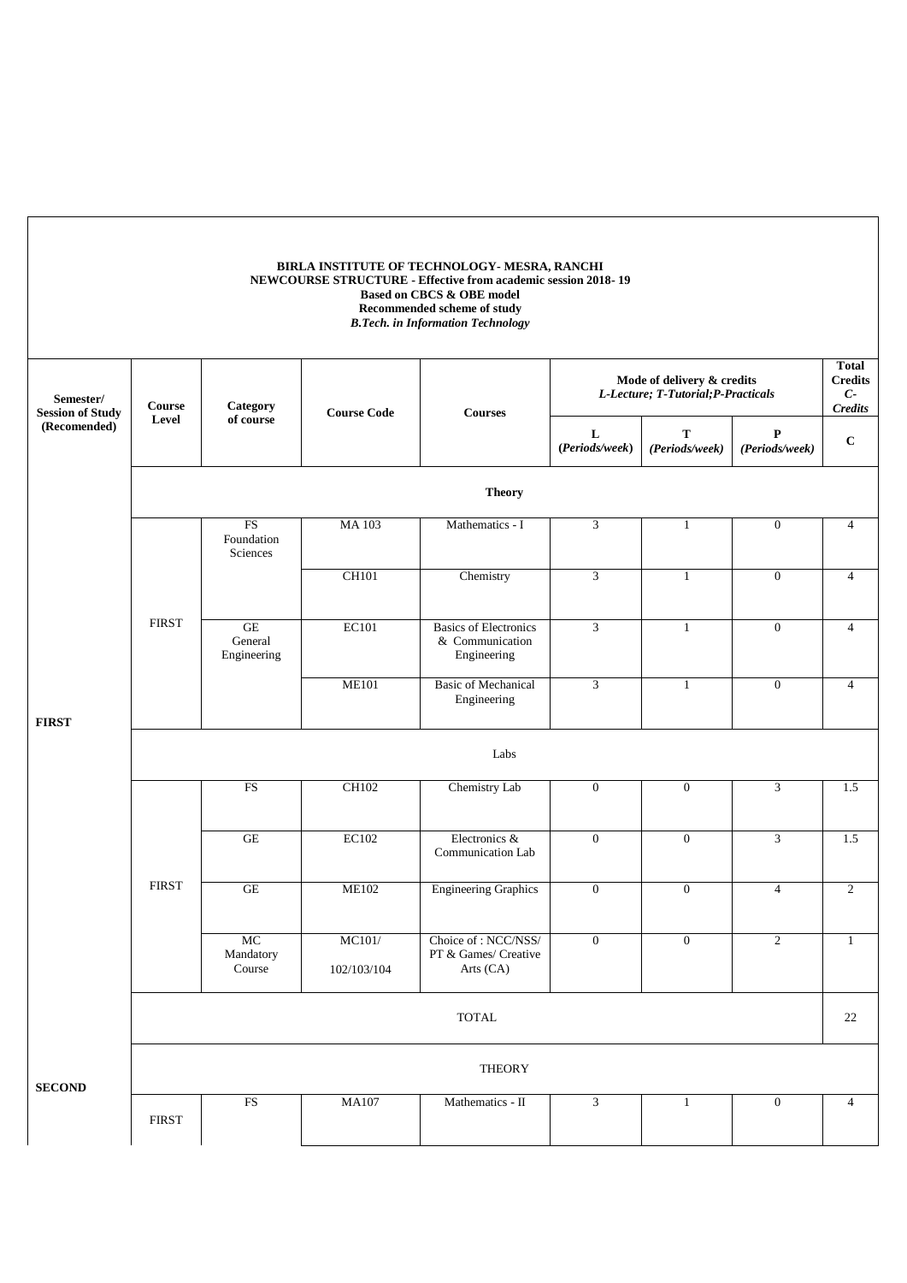|                                      |              |                              |                       | BIRLA INSTITUTE OF TECHNOLOGY- MESRA, RANCHI<br>NEWCOURSE STRUCTURE - Effective from academic session 2018-19<br>Based on CBCS & OBE model<br>Recommended scheme of study<br><b>B.Tech.</b> in Information Technology |                         |                                                                   |                                |                                                          |
|--------------------------------------|--------------|------------------------------|-----------------------|-----------------------------------------------------------------------------------------------------------------------------------------------------------------------------------------------------------------------|-------------------------|-------------------------------------------------------------------|--------------------------------|----------------------------------------------------------|
| Semester/<br><b>Session of Study</b> | Course       | Category                     | <b>Course Code</b>    | <b>Courses</b>                                                                                                                                                                                                        |                         | Mode of delivery & credits<br>L-Lecture; T-Tutorial; P-Practicals |                                | <b>Total</b><br><b>Credits</b><br>$C-$<br><b>Credits</b> |
| (Recomended)                         | Level        | of course                    |                       |                                                                                                                                                                                                                       | L<br>(Periods/week)     | T<br>(Periods/week)                                               | $\mathbf{P}$<br>(Periods/week) | $\mathbf C$                                              |
|                                      |              |                              |                       | <b>Theory</b>                                                                                                                                                                                                         |                         |                                                                   |                                |                                                          |
|                                      |              | FS<br>Foundation<br>Sciences | <b>MA103</b>          | Mathematics - I                                                                                                                                                                                                       | 3                       | $\mathbf{1}$                                                      | $\mathbf{0}$                   | $\overline{4}$                                           |
|                                      |              |                              | <b>CH101</b>          | Chemistry                                                                                                                                                                                                             | 3                       | $\mathbf{1}$                                                      | $\mathbf{0}$                   | $\overline{4}$                                           |
|                                      | <b>FIRST</b> | GE<br>General<br>Engineering | <b>EC101</b>          | <b>Basics of Electronics</b><br>& Communication<br>Engineering                                                                                                                                                        | 3                       | $\mathbf{1}$                                                      | $\mathbf{0}$                   | $\overline{4}$                                           |
| <b>FIRST</b>                         |              |                              | <b>ME101</b>          | <b>Basic of Mechanical</b><br>Engineering                                                                                                                                                                             | 3                       | $\mathbf{1}$                                                      | $\mathbf{0}$                   | $\overline{4}$                                           |
|                                      |              |                              |                       | Labs                                                                                                                                                                                                                  |                         |                                                                   |                                |                                                          |
|                                      |              | FS                           | <b>CH102</b>          | Chemistry Lab                                                                                                                                                                                                         | $\boldsymbol{0}$        | $\boldsymbol{0}$                                                  | 3                              | 1.5                                                      |
|                                      |              | $\operatorname{GE}$          | EC102                 | Electronics &<br>Communication Lab                                                                                                                                                                                    | $\boldsymbol{0}$        | $\boldsymbol{0}$                                                  | 3                              | 1.5                                                      |
|                                      | <b>FIRST</b> | $\operatorname{GE}$          | <b>ME102</b>          | <b>Engineering Graphics</b>                                                                                                                                                                                           | $\mathbf{0}$            | $\mathbf{0}$                                                      | $\overline{4}$                 | $\overline{c}$                                           |
|                                      |              | MC<br>Mandatory<br>Course    | MC101/<br>102/103/104 | Choice of: NCC/NSS/<br>PT & Games/ Creative<br>Arts (CA)                                                                                                                                                              | $\mathbf{0}$            | $\mathbf{0}$                                                      | $\overline{2}$                 | $\mathbf{1}$                                             |
|                                      |              |                              |                       | $\ensuremath{\mathsf{TOTAL}}$                                                                                                                                                                                         |                         |                                                                   |                                | 22                                                       |
| <b>SECOND</b>                        |              |                              |                       | <b>THEORY</b>                                                                                                                                                                                                         |                         |                                                                   |                                |                                                          |
|                                      | <b>FIRST</b> | FS                           | <b>MA107</b>          | Mathematics - II                                                                                                                                                                                                      | $\overline{\mathbf{3}}$ | $\mathbf{1}$                                                      | $\mathbf{0}$                   | $\overline{4}$                                           |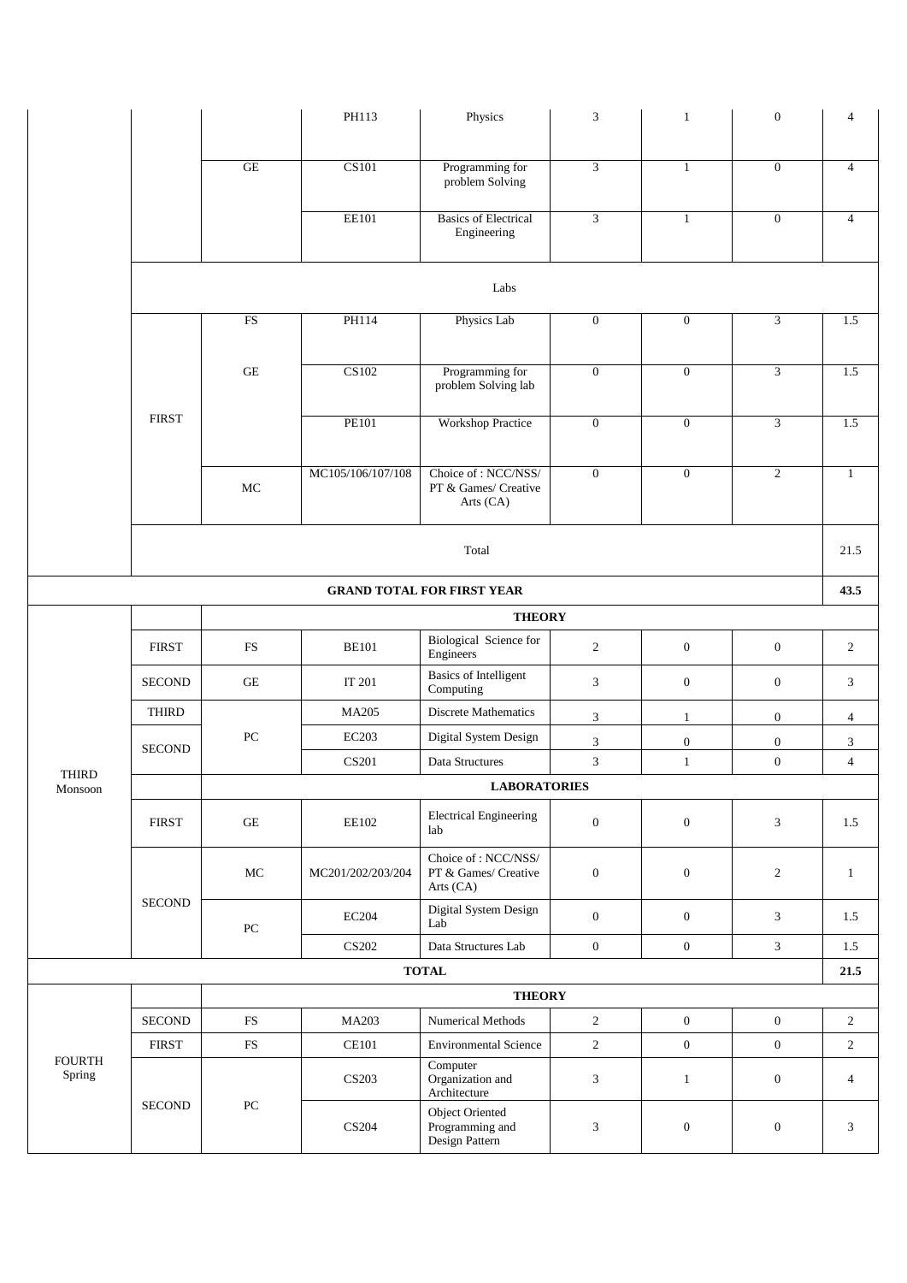|                         |               |                      | PH113                     | Physics                                                   | 3                | $\mathbf{1}$     | $\mathbf{0}$     | 4              |
|-------------------------|---------------|----------------------|---------------------------|-----------------------------------------------------------|------------------|------------------|------------------|----------------|
|                         |               |                      |                           |                                                           |                  |                  |                  |                |
|                         |               | GE                   | <b>CS101</b>              | Programming for<br>problem Solving                        | $\mathfrak{Z}$   | $\mathbf{1}$     | $\mathbf{0}$     | $\overline{4}$ |
|                         |               |                      | <b>EE101</b>              | <b>Basics of Electrical</b><br>Engineering                | $\mathfrak{Z}$   | $\mathbf{1}$     | $\overline{0}$   | $\overline{4}$ |
|                         |               |                      |                           | Labs                                                      |                  |                  |                  |                |
|                         |               | ${\rm FS}$           | PH114                     | Physics Lab                                               | $\boldsymbol{0}$ | $\boldsymbol{0}$ | 3                | 1.5            |
|                         |               | $\operatorname{GE}$  | CS102                     | Programming for<br>problem Solving lab                    | $\overline{0}$   | $\mathbf{0}$     | 3                | 1.5            |
|                         | <b>FIRST</b>  |                      | <b>PE101</b>              | Workshop Practice                                         | $\mathbf{0}$     | $\mathbf{0}$     | 3                | 1.5            |
|                         |               | MC                   | MC105/106/107/108         | Choice of: NCC/NSS/<br>PT & Games/ Creative<br>Arts (CA)  | $\overline{0}$   | $\mathbf{0}$     | $\overline{c}$   | $\mathbf{1}$   |
|                         |               |                      |                           | Total                                                     |                  |                  |                  | 21.5           |
|                         |               |                      |                           | <b>GRAND TOTAL FOR FIRST YEAR</b>                         |                  |                  |                  | 43.5           |
|                         |               |                      |                           | <b>THEORY</b>                                             |                  |                  |                  |                |
|                         | <b>FIRST</b>  | ${\rm FS}$           | <b>BE101</b>              | Biological Science for<br>Engineers                       | $\overline{c}$   | $\boldsymbol{0}$ | $\boldsymbol{0}$ | $\overline{2}$ |
|                         | <b>SECOND</b> | $\operatorname{GE}$  | IT 201                    | <b>Basics of Intelligent</b><br>Computing                 | $\mathfrak{Z}$   | $\boldsymbol{0}$ | $\boldsymbol{0}$ | 3              |
|                         | <b>THIRD</b>  |                      | MA205                     | Discrete Mathematics                                      | $\mathfrak{Z}$   | $\mathbf{1}$     | $\mathbf{0}$     | $\overline{4}$ |
|                         | <b>SECOND</b> | $\rm{PC}$            | <b>EC203</b>              | Digital System Design                                     | $\mathfrak{Z}$   | $\boldsymbol{0}$ | $\boldsymbol{0}$ | $\sqrt{3}$     |
| <b>THIRD</b>            |               |                      | <b>CS201</b>              | Data Structures                                           | $\mathfrak{Z}$   | $\mathbf{1}$     | $\boldsymbol{0}$ | $\overline{4}$ |
| Monsoon                 |               |                      |                           | <b>LABORATORIES</b>                                       |                  |                  |                  |                |
|                         | <b>FIRST</b>  | $\operatorname{GE}$  | EE102                     | <b>Electrical Engineering</b><br>lab                      | $\boldsymbol{0}$ | $\boldsymbol{0}$ | 3                | 1.5            |
|                         |               | $\rm MC$             | MC201/202/203/204         | Choice of : NCC/NSS/<br>PT & Games/ Creative<br>Arts (CA) | $\boldsymbol{0}$ | $\mathbf{0}$     | $\overline{c}$   | $\mathbf{1}$   |
|                         | <b>SECOND</b> | ${\rm P}{\bf C}$     | $\rm EC204$               | Digital System Design<br>Lab                              | $\overline{0}$   | $\mathbf{0}$     | 3                | 1.5            |
|                         |               |                      | <b>CS202</b>              | Data Structures Lab                                       | $\boldsymbol{0}$ | $\boldsymbol{0}$ | $\mathfrak{Z}$   | 1.5            |
|                         |               |                      |                           | <b>TOTAL</b>                                              |                  |                  |                  | 21.5           |
|                         |               |                      |                           | <b>THEORY</b>                                             |                  |                  |                  |                |
|                         | <b>SECOND</b> | ${\rm FS}$           | MA203                     | Numerical Methods                                         | $\overline{2}$   | $\boldsymbol{0}$ | $\boldsymbol{0}$ | $\overline{2}$ |
|                         | <b>FIRST</b>  | $\mathop{\text{FS}}$ | $\mathbf{CE}101$          | <b>Environmental Science</b>                              | $\overline{2}$   | $\boldsymbol{0}$ | $\boldsymbol{0}$ | $\overline{2}$ |
| <b>FOURTH</b><br>Spring |               |                      | $\mathbf{C}\mathbf{S}203$ | Computer<br>Organization and<br>Architecture              | $\mathfrak{Z}$   | $\mathbf{1}$     | $\boldsymbol{0}$ | $\overline{4}$ |
|                         | <b>SECOND</b> | ${\rm P}{\bf C}$     | <b>CS204</b>              | Object Oriented<br>Programming and<br>Design Pattern      | $\mathfrak{Z}$   | $\boldsymbol{0}$ | $\overline{0}$   | 3              |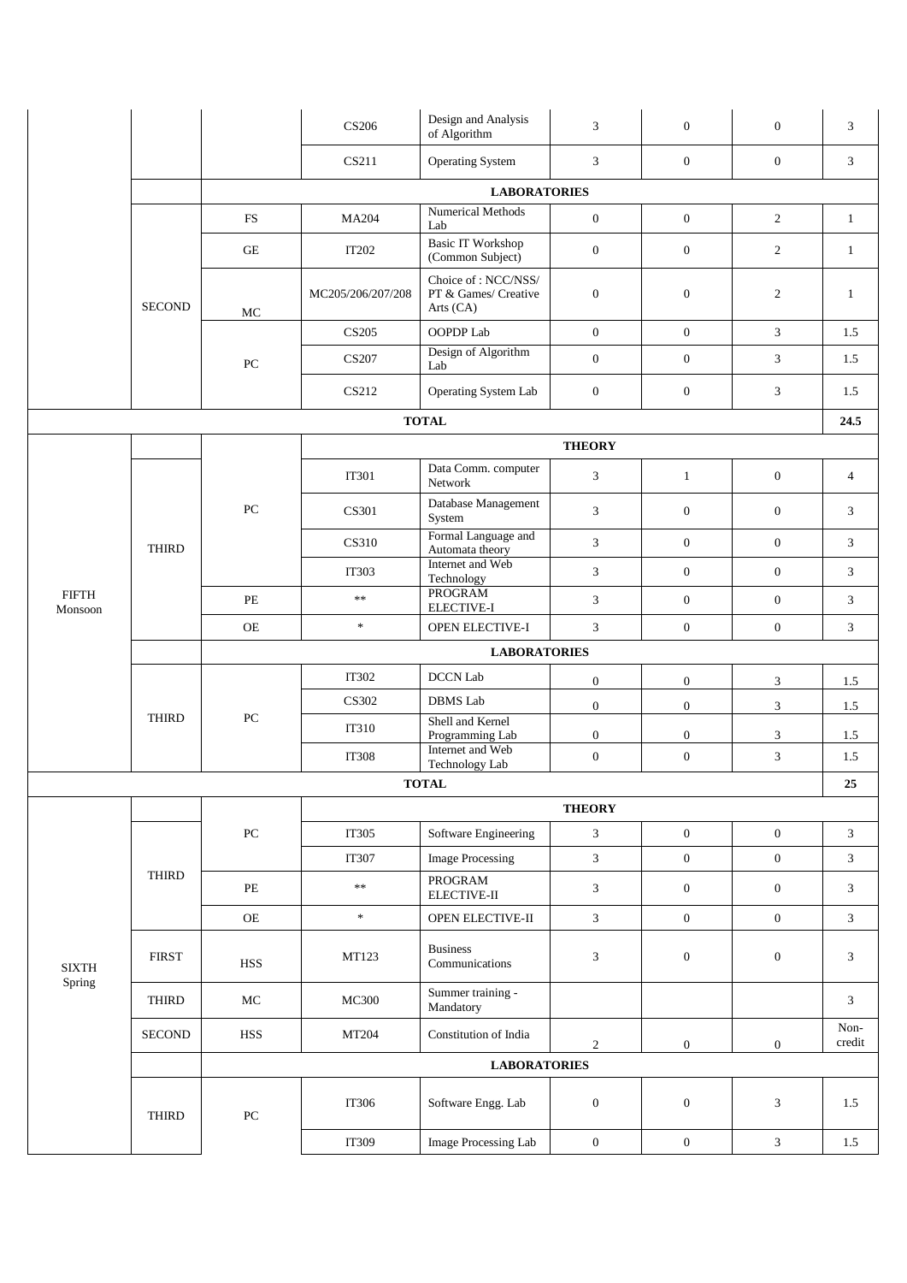|                         |               |                     | <b>CS206</b>            | Design and Analysis<br>of Algorithm                        | 3                | $\boldsymbol{0}$ | $\mathbf{0}$     | 3              |
|-------------------------|---------------|---------------------|-------------------------|------------------------------------------------------------|------------------|------------------|------------------|----------------|
|                         |               |                     | CS211                   | Operating System                                           | 3                | $\boldsymbol{0}$ | $\boldsymbol{0}$ | 3              |
|                         |               |                     |                         | <b>LABORATORIES</b>                                        |                  |                  |                  |                |
|                         |               | $_{\rm FS}$         | <b>MA204</b>            | Numerical Methods<br>Lab                                   | $\mathbf{0}$     | $\boldsymbol{0}$ | $\overline{c}$   | $\mathbf{1}$   |
|                         |               | $\operatorname{GE}$ | IT202                   | <b>Basic IT Workshop</b><br>(Common Subject)               | $\boldsymbol{0}$ | $\boldsymbol{0}$ | $\overline{2}$   | $\mathbf{1}$   |
|                         | <b>SECOND</b> | $\rm MC$            | MC205/206/207/208       | Choice of: NCC/NSS/<br>PT & Games/ Creative<br>Arts $(CA)$ | $\boldsymbol{0}$ | $\boldsymbol{0}$ | $\mathbf{2}$     | $\mathbf{1}$   |
|                         |               |                     | CS205                   | OOPDP Lab                                                  | $\overline{0}$   | $\overline{0}$   | $\mathfrak{Z}$   | 1.5            |
|                         |               | ${\rm P}{\bf C}$    | <b>CS207</b>            | Design of Algorithm<br>Lab                                 | $\mathbf{0}$     | $\boldsymbol{0}$ | 3                | 1.5            |
|                         |               |                     | CS212                   | Operating System Lab                                       | $\boldsymbol{0}$ | $\boldsymbol{0}$ | 3                | 1.5            |
|                         |               |                     |                         | <b>TOTAL</b>                                               |                  |                  |                  | 24.5           |
|                         |               |                     |                         |                                                            | <b>THEORY</b>    |                  |                  |                |
|                         |               |                     | IT301                   | Data Comm. computer<br>Network                             | 3                | $\mathbf{1}$     | $\boldsymbol{0}$ | $\overline{4}$ |
|                         |               | PC                  | CS301                   | Database Management<br>System                              | 3                | $\boldsymbol{0}$ | $\mathbf{0}$     | 3              |
|                         | <b>THIRD</b>  |                     | CS310                   | Formal Language and<br>Automata theory                     | 3                | $\boldsymbol{0}$ | $\boldsymbol{0}$ | 3              |
|                         |               |                     | <b>IT303</b>            | Internet and Web<br>Technology                             | $\mathfrak{Z}$   | $\boldsymbol{0}$ | $\boldsymbol{0}$ | 3              |
| <b>FIFTH</b><br>Monsoon |               | PE                  | $\ast$                  | <b>PROGRAM</b><br>ELECTIVE-I                               | $\mathfrak{Z}$   | $\boldsymbol{0}$ | $\boldsymbol{0}$ | $\mathfrak{Z}$ |
|                         |               | <b>OE</b>           | $\mathbf{g}_\mathrm{c}$ | OPEN ELECTIVE-I                                            | 3                | $\boldsymbol{0}$ | $\boldsymbol{0}$ | $\mathfrak{Z}$ |
|                         |               |                     |                         | <b>LABORATORIES</b>                                        |                  |                  |                  |                |
|                         |               |                     | <b>IT302</b>            | <b>DCCN Lab</b>                                            | $\boldsymbol{0}$ | $\boldsymbol{0}$ | 3                | 1.5            |
|                         | <b>THIRD</b>  |                     | CS302                   | <b>DBMS</b> Lab                                            | $\boldsymbol{0}$ | $\boldsymbol{0}$ | $\mathfrak{Z}$   | 1.5            |
|                         |               | ${\rm P}{\bf C}$    | IT310                   | Shell and Kernel<br>Programming Lab                        | $\boldsymbol{0}$ | $\boldsymbol{0}$ | 3                | 1.5            |
|                         |               |                     | <b>IT308</b>            | Internet and Web<br>Technology Lab                         | $\boldsymbol{0}$ | $\boldsymbol{0}$ | $\mathfrak{Z}$   | 1.5            |
|                         |               |                     |                         | <b>TOTAL</b>                                               |                  |                  |                  | 25             |
|                         |               |                     |                         |                                                            | <b>THEORY</b>    |                  |                  |                |
|                         |               | ${\rm P}{\bf C}$    | IT305                   | Software Engineering                                       | $\mathfrak{Z}$   | $\boldsymbol{0}$ | $\boldsymbol{0}$ | 3              |
|                         |               |                     | IT307                   | <b>Image Processing</b>                                    | $\sqrt{3}$       | $\boldsymbol{0}$ | $\boldsymbol{0}$ | $\mathfrak{Z}$ |
|                         | <b>THIRD</b>  | $\rm PE$            | $\ast\ast$              | PROGRAM<br>${\rm ELECTIVE-II}$                             | 3                | $\boldsymbol{0}$ | $\boldsymbol{0}$ | $\mathfrak{Z}$ |
|                         |               | $\rm{OE}$           | $\frac{1}{N}$           | OPEN ELECTIVE-II                                           | $\mathfrak{Z}$   | $\boldsymbol{0}$ | $\boldsymbol{0}$ | $\mathfrak{Z}$ |
| $\rm{SIXTH}$<br>Spring  | <b>FIRST</b>  | HSS                 | MT123                   | <b>Business</b><br>Communications                          | 3                | $\boldsymbol{0}$ | $\boldsymbol{0}$ | 3              |
|                         | <b>THIRD</b>  | $\rm MC$            | <b>MC300</b>            | Summer training -<br>Mandatory                             |                  |                  |                  | 3              |
|                         | <b>SECOND</b> | HSS                 | MT204                   | Constitution of India                                      | $\overline{2}$   | $\boldsymbol{0}$ | $\boldsymbol{0}$ | Non-<br>credit |
|                         |               |                     |                         | <b>LABORATORIES</b>                                        |                  |                  |                  |                |
|                         | <b>THIRD</b>  | ${\rm P}{\bf C}$    | IT306                   | Software Engg. Lab                                         | $\boldsymbol{0}$ | $\boldsymbol{0}$ | 3                | 1.5            |
|                         |               |                     | IT309                   | Image Processing Lab                                       | $\boldsymbol{0}$ | $\boldsymbol{0}$ | $\mathfrak{Z}$   | 1.5            |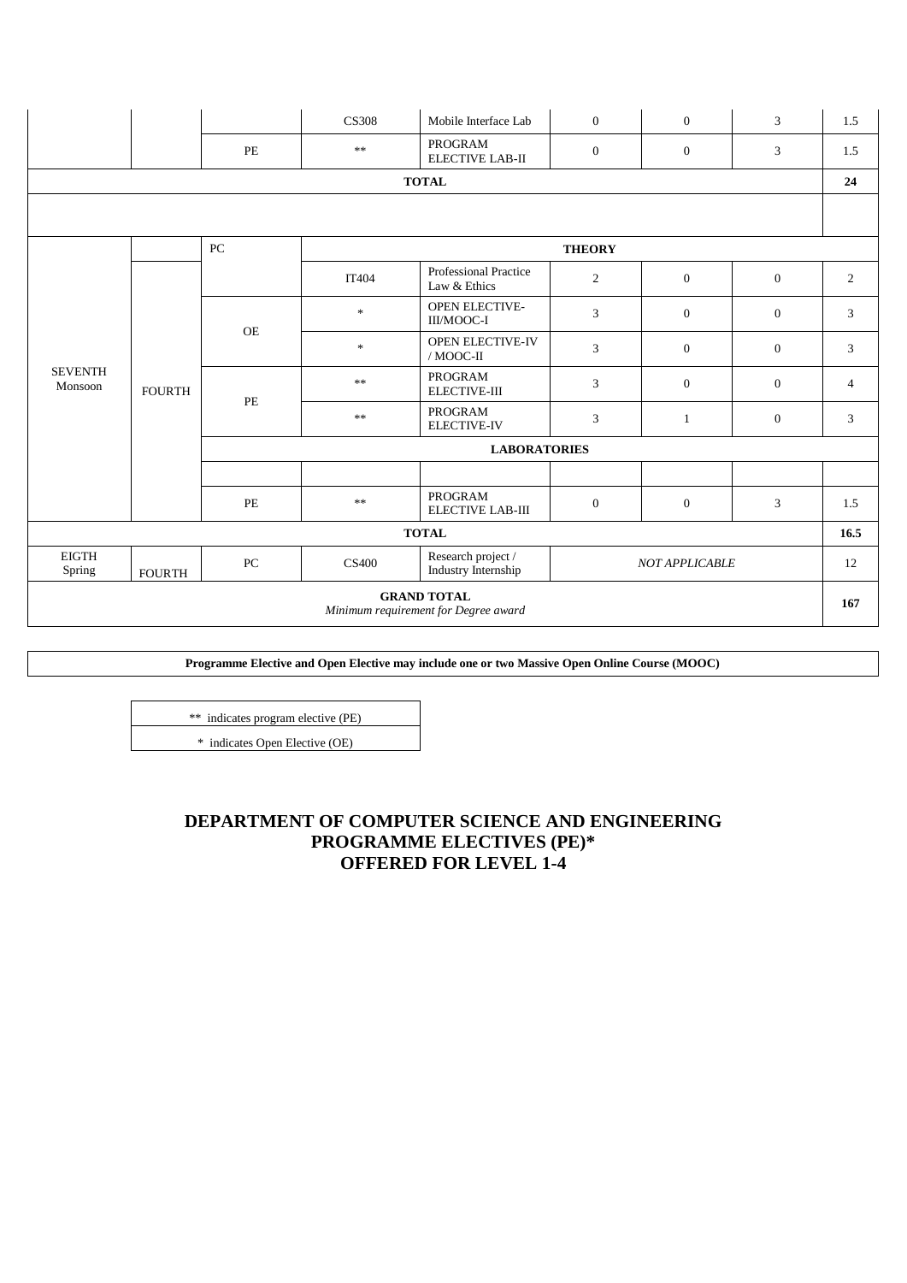|                                                            |               |                  | <b>CS308</b>  | Mobile Interface Lab                         | $\overline{0}$                         | $\overline{0}$        | 3                | 1.5              |   |
|------------------------------------------------------------|---------------|------------------|---------------|----------------------------------------------|----------------------------------------|-----------------------|------------------|------------------|---|
|                                                            |               | PE               | $\ast\ast$    | <b>PROGRAM</b><br><b>ELECTIVE LAB-II</b>     | $\overline{0}$                         | $\mathbf{0}$          | 3                | 1.5              |   |
|                                                            |               |                  |               | <b>TOTAL</b>                                 |                                        |                       |                  | 24               |   |
|                                                            |               |                  |               |                                              |                                        |                       |                  |                  |   |
|                                                            |               |                  |               |                                              |                                        |                       |                  |                  |   |
|                                                            |               | ${\rm P}{\bf C}$ |               |                                              | <b>THEORY</b>                          |                       |                  |                  |   |
|                                                            |               |                  | IT404         | <b>Professional Practice</b><br>Law & Ethics | $\overline{2}$                         | $\mathbf{0}$          | $\boldsymbol{0}$ | $\overline{2}$   |   |
|                                                            |               | <b>OE</b>        | $\frac{1}{2}$ | <b>OPEN ELECTIVE-</b><br>III/MOOC-I          | 3                                      | $\boldsymbol{0}$      | $\boldsymbol{0}$ | 3                |   |
|                                                            |               |                  |               | $\frac{1}{2}$                                | <b>OPEN ELECTIVE-IV</b><br>$/$ MOOC-II | 3                     | $\mathbf{0}$     | $\boldsymbol{0}$ | 3 |
| <b>SEVENTH</b><br>Monsoon                                  | <b>FOURTH</b> | PE               | $\ast\ast$    | PROGRAM<br><b>ELECTIVE-III</b>               | 3                                      | $\mathbf{0}$          | $\boldsymbol{0}$ | $\overline{4}$   |   |
|                                                            |               |                  | $\ast$        | PROGRAM<br><b>ELECTIVE-IV</b>                | 3                                      | $\mathbf{1}$          | $\boldsymbol{0}$ | 3                |   |
|                                                            |               |                  |               | <b>LABORATORIES</b>                          |                                        |                       |                  |                  |   |
|                                                            |               |                  |               |                                              |                                        |                       |                  |                  |   |
|                                                            |               | PE               | $\ast\ast$    | <b>PROGRAM</b><br><b>ELECTIVE LAB-III</b>    | $\boldsymbol{0}$                       | $\mathbf{0}$          | 3                | 1.5              |   |
|                                                            |               |                  |               | <b>TOTAL</b>                                 |                                        |                       |                  | 16.5             |   |
| <b>EIGTH</b><br>Spring                                     | <b>FOURTH</b> | PC               | <b>CS400</b>  | Research project /<br>Industry Internship    |                                        | <b>NOT APPLICABLE</b> |                  | 12               |   |
| <b>GRAND TOTAL</b><br>Minimum requirement for Degree award |               |                  |               |                                              |                                        |                       |                  | 167              |   |

**Programme Elective and Open Elective may include one or two Massive Open Online Course (MOOC)** 

\*\* indicates program elective (PE) \* indicates Open Elective (OE)

> **DEPARTMENT OF COMPUTER SCIENCE AND ENGINEERING PROGRAMME ELECTIVES (PE)\* OFFERED FOR LEVEL 1-4**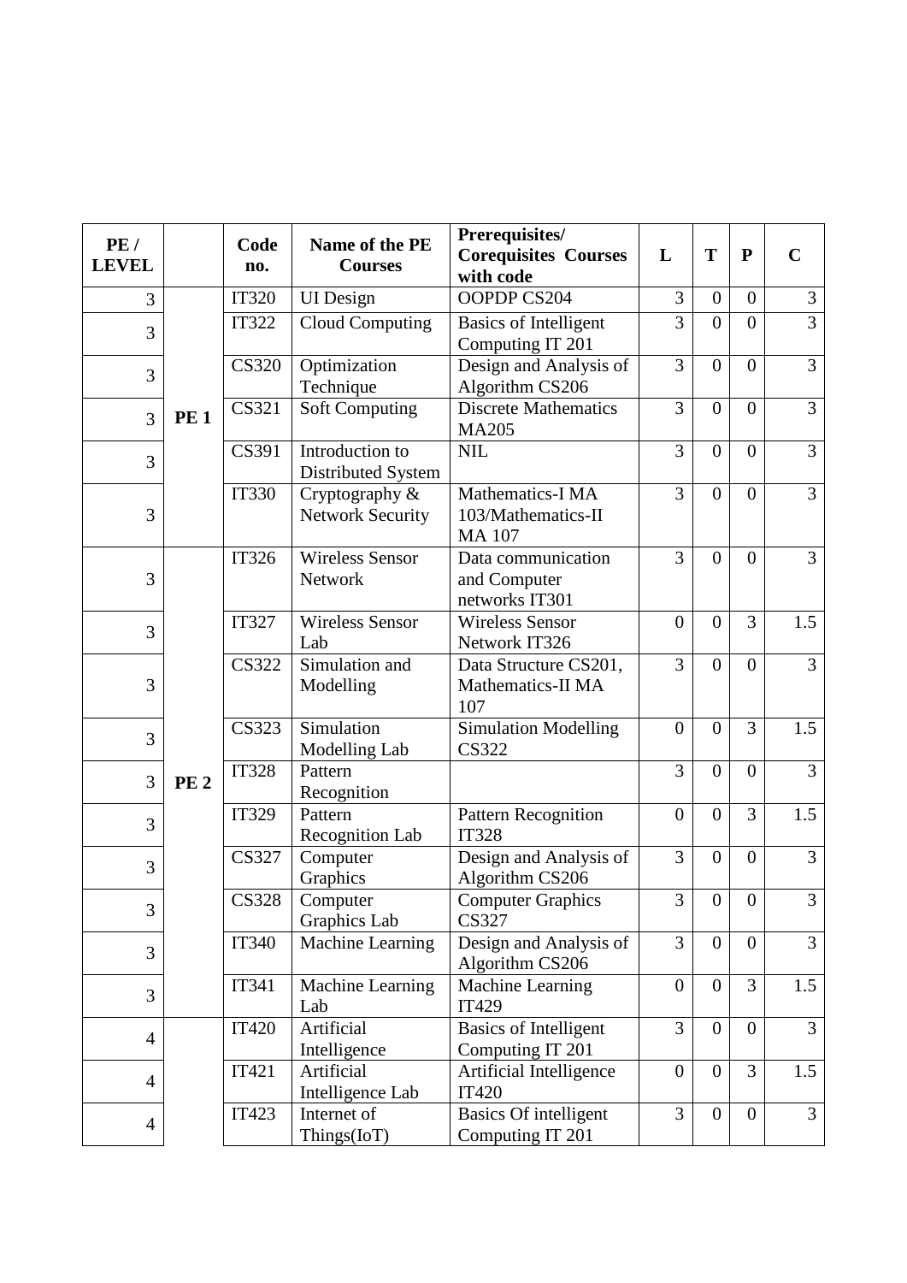| PE/<br><b>LEVEL</b> |             | Code<br>no.  | Name of the PE<br><b>Courses</b>            | Prerequisites/<br><b>Corequisites Courses</b><br>with code | L                | T                | ${\bf P}$      | $\mathbf C$    |
|---------------------|-------------|--------------|---------------------------------------------|------------------------------------------------------------|------------------|------------------|----------------|----------------|
| 3                   |             | <b>IT320</b> | <b>UI</b> Design                            | OOPDP CS204                                                | 3                | $\boldsymbol{0}$ | $\overline{0}$ | 3              |
| 3                   |             | <b>IT322</b> | <b>Cloud Computing</b>                      | <b>Basics of Intelligent</b><br>Computing IT 201           | 3                | $\overline{0}$   | $\overline{0}$ | $\overline{3}$ |
| 3                   |             | <b>CS320</b> | Optimization<br>Technique                   | Design and Analysis of<br>Algorithm CS206                  | $\overline{3}$   | $\overline{0}$   | $\overline{0}$ | 3              |
| 3                   | <b>PE1</b>  | <b>CS321</b> | <b>Soft Computing</b>                       | <b>Discrete Mathematics</b><br><b>MA205</b>                | 3                | $\overline{0}$   | $\overline{0}$ | 3              |
| 3                   |             | CS391        | Introduction to<br>Distributed System       | <b>NIL</b>                                                 | 3                | $\overline{0}$   | $\overline{0}$ | $\overline{3}$ |
| 3                   |             | <b>IT330</b> | Cryptography $&$<br><b>Network Security</b> | Mathematics-I MA<br>103/Mathematics-II<br><b>MA107</b>     | 3                | $\overline{0}$   | $\overline{0}$ | 3              |
| 3                   |             | <b>IT326</b> | Wireless Sensor<br>Network                  | Data communication<br>and Computer<br>networks IT301       | $\overline{3}$   | $\overline{0}$   | $\overline{0}$ | 3              |
| 3                   |             | <b>IT327</b> | <b>Wireless Sensor</b><br>Lab               | <b>Wireless Sensor</b><br>Network IT326                    | $\boldsymbol{0}$ | $\overline{0}$   | 3              | 1.5            |
| 3                   |             | <b>CS322</b> | Simulation and<br>Modelling                 | Data Structure CS201,<br>Mathematics-II MA<br>107          | $\overline{3}$   | $\overline{0}$   | $\overline{0}$ | $\overline{3}$ |
| 3                   |             | <b>CS323</b> | Simulation<br>Modelling Lab                 | <b>Simulation Modelling</b><br><b>CS322</b>                | $\overline{0}$   | $\overline{0}$   | 3              | 1.5            |
| 3                   | <b>PE 2</b> | <b>IT328</b> | Pattern<br>Recognition                      |                                                            | 3                | $\overline{0}$   | $\overline{0}$ | 3              |
| 3                   |             | <b>IT329</b> | Pattern<br>Recognition Lab                  | <b>Pattern Recognition</b><br><b>IT328</b>                 | $\boldsymbol{0}$ | $\overline{0}$   | 3              | 1.5            |
| 3                   |             | <b>CS327</b> | Computer<br>Graphics                        | Design and Analysis of<br>Algorithm CS206                  | $\overline{3}$   | $\overline{0}$   | $\overline{0}$ | $\overline{3}$ |
| 3                   |             | <b>CS328</b> | Computer<br>Graphics Lab                    | <b>Computer Graphics</b><br><b>CS327</b>                   | 3                | $\overline{0}$   | $\overline{0}$ | 3              |
| 3                   |             | <b>IT340</b> | Machine Learning                            | Design and Analysis of<br>Algorithm CS206                  | 3                | $\overline{0}$   | $\overline{0}$ | 3              |
| 3                   |             | IT341        | Machine Learning<br>Lab                     | Machine Learning<br><b>IT429</b>                           | $\boldsymbol{0}$ | $\overline{0}$   | 3              | 1.5            |
| 4                   |             | <b>IT420</b> | Artificial<br>Intelligence                  | <b>Basics of Intelligent</b><br>Computing IT 201           | $\overline{3}$   | $\overline{0}$   | $\overline{0}$ | $\overline{3}$ |
| $\overline{4}$      |             | IT421        | Artificial<br>Intelligence Lab              | Artificial Intelligence<br><b>IT420</b>                    | $\overline{0}$   | $\theta$         | 3              | 1.5            |
| $\overline{4}$      |             | <b>IT423</b> | Internet of<br>Things(IoT)                  | <b>Basics Of intelligent</b><br>Computing IT 201           | $\overline{3}$   | $\mathbf{0}$     | $\mathbf{0}$   | 3              |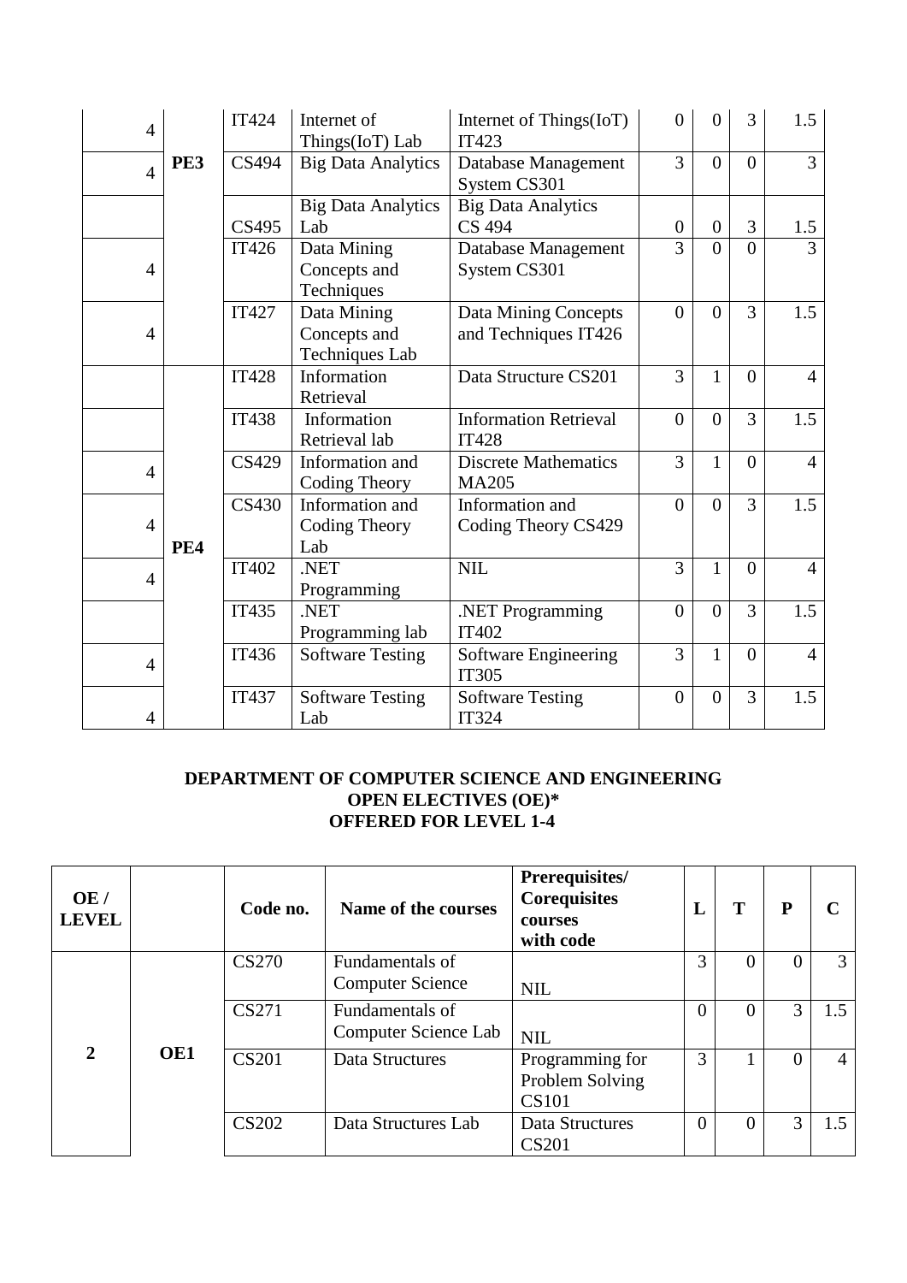| $\overline{4}$ |            | <b>IT424</b> | Internet of<br>Things(IoT) Lab | Internet of Things(IoT)<br><b>IT423</b> | $\overline{0}$   | $\overline{0}$ | 3              | 1.5            |
|----------------|------------|--------------|--------------------------------|-----------------------------------------|------------------|----------------|----------------|----------------|
| $\overline{4}$ | PE3        | CS494        | <b>Big Data Analytics</b>      | Database Management<br>System CS301     | 3                | $\theta$       | $\theta$       | $\overline{3}$ |
|                |            |              | <b>Big Data Analytics</b>      | <b>Big Data Analytics</b>               |                  |                |                |                |
|                |            | <b>CS495</b> | Lab                            | <b>CS 494</b>                           | $\boldsymbol{0}$ | $\overline{0}$ | 3              | 1.5            |
|                |            | <b>IT426</b> | Data Mining                    | Database Management                     | 3                | $\overline{0}$ | $\theta$       | $\mathcal{E}$  |
| $\overline{4}$ |            |              | Concepts and                   | System CS301                            |                  |                |                |                |
|                |            |              | Techniques                     |                                         |                  |                |                |                |
|                |            | <b>IT427</b> | Data Mining                    | Data Mining Concepts                    | $\Omega$         | $\Omega$       | 3              | 1.5            |
| $\overline{4}$ |            |              | Concepts and                   | and Techniques IT426                    |                  |                |                |                |
|                |            |              | <b>Techniques Lab</b>          |                                         |                  |                |                |                |
|                |            | <b>IT428</b> | Information                    | Data Structure CS201                    | 3                | $\mathbf{1}$   | $\overline{0}$ | $\overline{4}$ |
|                |            |              | Retrieval                      |                                         |                  |                |                |                |
|                |            | <b>IT438</b> | Information                    | <b>Information Retrieval</b>            | $\overline{0}$   | $\overline{0}$ | 3              | 1.5            |
|                |            |              | Retrieval lab                  | <b>IT428</b>                            |                  |                |                |                |
|                |            | CS429        | Information and                | <b>Discrete Mathematics</b>             | $\overline{3}$   | $\mathbf{1}$   | $\overline{0}$ | $\overline{4}$ |
| $\overline{4}$ |            |              | Coding Theory                  | <b>MA205</b>                            |                  |                |                |                |
|                |            | CS430        | Information and                | Information and                         | $\overline{0}$   | $\theta$       | 3              | 1.5            |
| $\overline{4}$ |            |              | Coding Theory                  | Coding Theory CS429                     |                  |                |                |                |
|                | <b>PE4</b> |              | Lab                            |                                         |                  |                |                |                |
|                |            | <b>IT402</b> | .NET                           | <b>NIL</b>                              | 3                | $\mathbf{1}$   | $\overline{0}$ | $\overline{4}$ |
| $\overline{4}$ |            |              | Programming                    |                                         |                  |                |                |                |
|                |            | <b>IT435</b> | .NET                           | .NET Programming                        | $\overline{0}$   | $\overline{0}$ | 3              | 1.5            |
|                |            |              | Programming lab                | <b>IT402</b>                            |                  |                |                |                |
| $\overline{4}$ |            | IT436        | <b>Software Testing</b>        | Software Engineering                    | 3                | $\mathbf{1}$   | $\overline{0}$ | $\overline{4}$ |
|                |            |              |                                | <b>IT305</b>                            |                  |                |                |                |
|                |            | IT437        | <b>Software Testing</b>        | <b>Software Testing</b>                 | $\overline{0}$   | $\overline{0}$ | 3              | 1.5            |
| $\overline{4}$ |            |              | Lab                            | <b>IT324</b>                            |                  |                |                |                |

## **DEPARTMENT OF COMPUTER SCIENCE AND ENGINEERING OPEN ELECTIVES (OE)\* OFFERED FOR LEVEL 1-4**

| OE/<br><b>LEVEL</b>   |     | Code no.     | Name of the courses                        | Prerequisites/<br><b>Corequisites</b><br>courses<br>with code | L        | T | $\mathbf{P}$ |     |
|-----------------------|-----|--------------|--------------------------------------------|---------------------------------------------------------------|----------|---|--------------|-----|
|                       |     | <b>CS270</b> | Fundamentals of<br><b>Computer Science</b> | <b>NIL</b>                                                    | 3        |   |              | 3   |
|                       |     | CS271        | Fundamentals of<br>Computer Science Lab    | <b>NIL</b>                                                    | $\Omega$ |   | 3            | 1.5 |
| $\mathcal{D}_{\cdot}$ | OE1 | <b>CS201</b> | Data Structures                            | Programming for<br>Problem Solving<br><b>CS101</b>            | 3        |   |              | 4   |
|                       |     | <b>CS202</b> | Data Structures Lab                        | Data Structures<br><b>CS201</b>                               | $\Omega$ |   | 3            | 1.5 |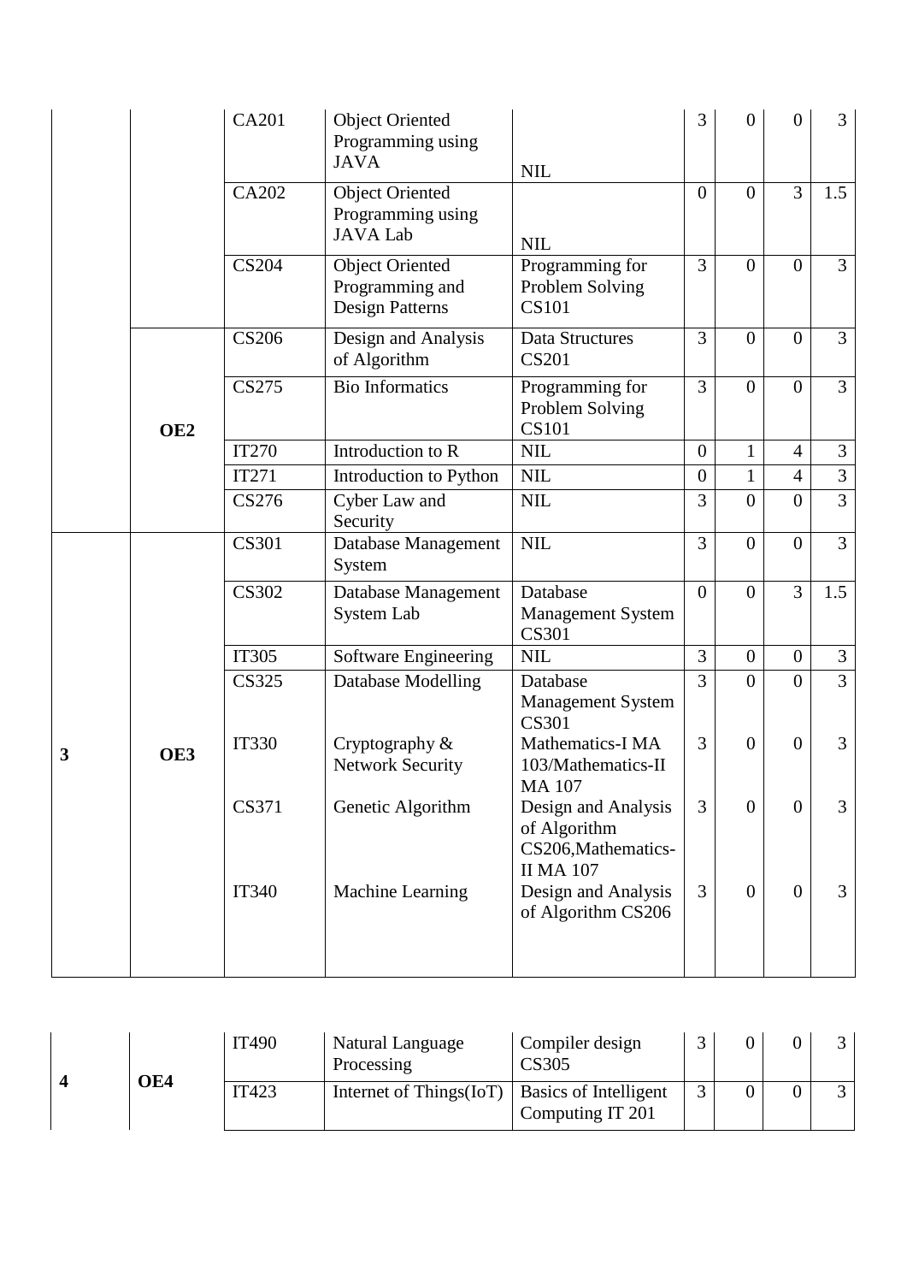|   |                 | <b>CA201</b> | <b>Object Oriented</b><br>Programming using<br><b>JAVA</b>          | <b>NIL</b>                                                                     | 3                | $\overline{0}$ | $\overline{0}$   | 3              |
|---|-----------------|--------------|---------------------------------------------------------------------|--------------------------------------------------------------------------------|------------------|----------------|------------------|----------------|
|   |                 | CA202        | <b>Object Oriented</b><br>Programming using<br><b>JAVA Lab</b>      | <b>NIL</b>                                                                     | $\overline{0}$   | $\Omega$       | $\overline{3}$   | 1.5            |
|   |                 | <b>CS204</b> | <b>Object Oriented</b><br>Programming and<br><b>Design Patterns</b> | Programming for<br>Problem Solving<br><b>CS101</b>                             | 3                | $\Omega$       | $\overline{0}$   | $\overline{3}$ |
|   |                 | <b>CS206</b> | Design and Analysis<br>of Algorithm                                 | Data Structures<br><b>CS201</b>                                                | 3                | $\overline{0}$ | $\boldsymbol{0}$ | $\overline{3}$ |
|   | OE <sub>2</sub> | <b>CS275</b> | <b>Bio Informatics</b>                                              | Programming for<br>Problem Solving<br><b>CS101</b>                             | $\overline{3}$   | $\Omega$       | $\theta$         | $\overline{3}$ |
|   |                 | <b>IT270</b> | Introduction to R                                                   | <b>NIL</b>                                                                     | $\overline{0}$   | $\mathbf{1}$   | $\overline{4}$   | 3              |
|   |                 | <b>IT271</b> | Introduction to Python                                              | <b>NIL</b>                                                                     | $\boldsymbol{0}$ | $\mathbf{1}$   | $\overline{4}$   | $\overline{3}$ |
|   |                 | CS276        | Cyber Law and<br>Security                                           | <b>NIL</b>                                                                     | 3                | $\overline{0}$ | $\overline{0}$   | $\overline{3}$ |
|   |                 | <b>CS301</b> | Database Management<br>System                                       | <b>NIL</b>                                                                     | 3                | $\overline{0}$ | $\overline{0}$   | $\overline{3}$ |
|   |                 | <b>CS302</b> | Database Management<br>System Lab                                   | Database<br><b>Management System</b><br><b>CS301</b>                           | $\overline{0}$   | $\theta$       | $\overline{3}$   | 1.5            |
|   |                 | <b>IT305</b> | Software Engineering                                                | <b>NIL</b>                                                                     | 3                | $\mathbf{0}$   | $\overline{0}$   | $\mathfrak{Z}$ |
|   |                 | <b>CS325</b> | Database Modelling                                                  | Database<br><b>Management System</b><br><b>CS301</b>                           | 3                | $\Omega$       | $\theta$         | $\overline{3}$ |
| 3 | OE3             | <b>IT330</b> | Cryptography $&$<br><b>Network Security</b>                         | Mathematics-I MA<br>103/Mathematics-II<br><b>MA 107</b>                        | 3                | $\overline{0}$ | $\overline{0}$   | 3              |
|   |                 | <b>CS371</b> | Genetic Algorithm                                                   | Design and Analysis<br>of Algorithm<br>CS206, Mathematics-<br><b>II MA 107</b> | 3                | $\overline{0}$ | $\overline{0}$   | 3              |
|   |                 | <b>IT340</b> | Machine Learning                                                    | Design and Analysis<br>of Algorithm CS206                                      | 3                | $\Omega$       | $\theta$         | 3              |

|     | IT490 | <b>Natural Language</b><br>Processing              | Compiler design<br><b>CS305</b> |  |  |
|-----|-------|----------------------------------------------------|---------------------------------|--|--|
| OE4 | IT423 | Internet of Things $(IoT)$   Basics of Intelligent | Computing IT 201                |  |  |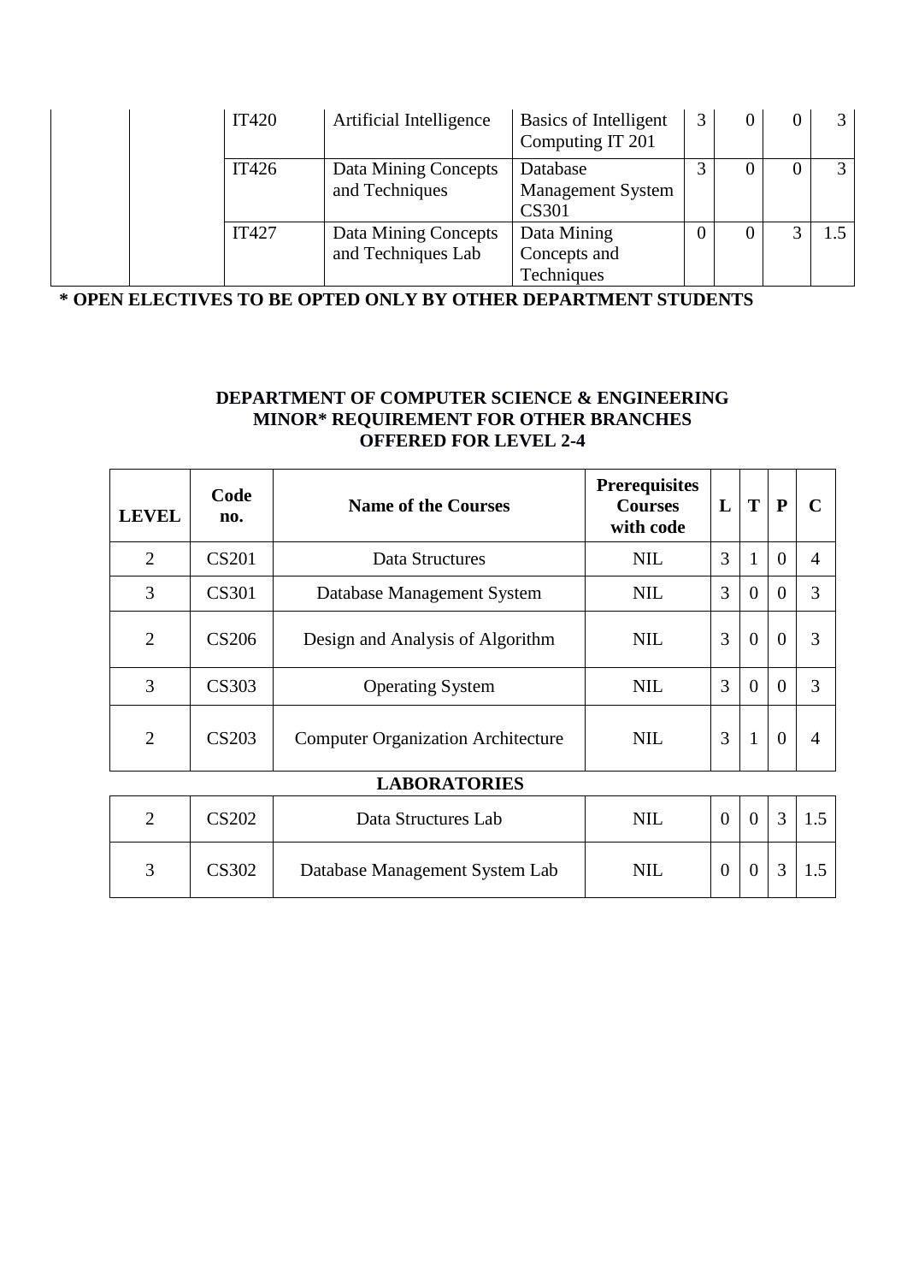| <b>IT420</b> | Artificial Intelligence                    | Basics of Intelligent<br>Computing IT 201            |  | 3 <sup>1</sup> |
|--------------|--------------------------------------------|------------------------------------------------------|--|----------------|
| IT426        | Data Mining Concepts<br>and Techniques     | Database<br><b>Management System</b><br><b>CS301</b> |  | 3 I            |
| <b>IT427</b> | Data Mining Concepts<br>and Techniques Lab | Data Mining<br>Concepts and<br>Techniques            |  | l 5 I          |

**\* OPEN ELECTIVES TO BE OPTED ONLY BY OTHER DEPARTMENT STUDENTS**

## **DEPARTMENT OF COMPUTER SCIENCE & ENGINEERING MINOR\* REQUIREMENT FOR OTHER BRANCHES OFFERED FOR LEVEL 2-4**

| <b>LEVEL</b>   | Code<br>no.       | <b>Name of the Courses</b>                | <b>Prerequisites</b><br><b>Courses</b><br>with code | L | T              | P              | r              |
|----------------|-------------------|-------------------------------------------|-----------------------------------------------------|---|----------------|----------------|----------------|
| $\overline{2}$ | <b>CS201</b>      | Data Structures                           | <b>NIL</b>                                          | 3 | 1              | $\theta$       | $\overline{A}$ |
| 3              | <b>CS301</b>      | Database Management System                | <b>NIL</b>                                          | 3 | $\overline{0}$ | $\theta$       | 3              |
| $\overline{2}$ | <b>CS206</b>      | Design and Analysis of Algorithm          | <b>NIL</b>                                          | 3 | $\overline{0}$ | $\overline{0}$ | 3              |
| 3              | <b>CS303</b>      | <b>Operating System</b>                   | <b>NIL</b>                                          | 3 | $\theta$       | $\Omega$       | 3              |
| $\overline{2}$ | CS <sub>203</sub> | <b>Computer Organization Architecture</b> | <b>NIL</b>                                          | 3 | $\mathbf{1}$   | $\Omega$       | 4              |

## **LABORATORIES**

| CS202 | Data Structures Lab            | $\rm NIL$  |  |  |
|-------|--------------------------------|------------|--|--|
| CS302 | Database Management System Lab | <b>NIL</b> |  |  |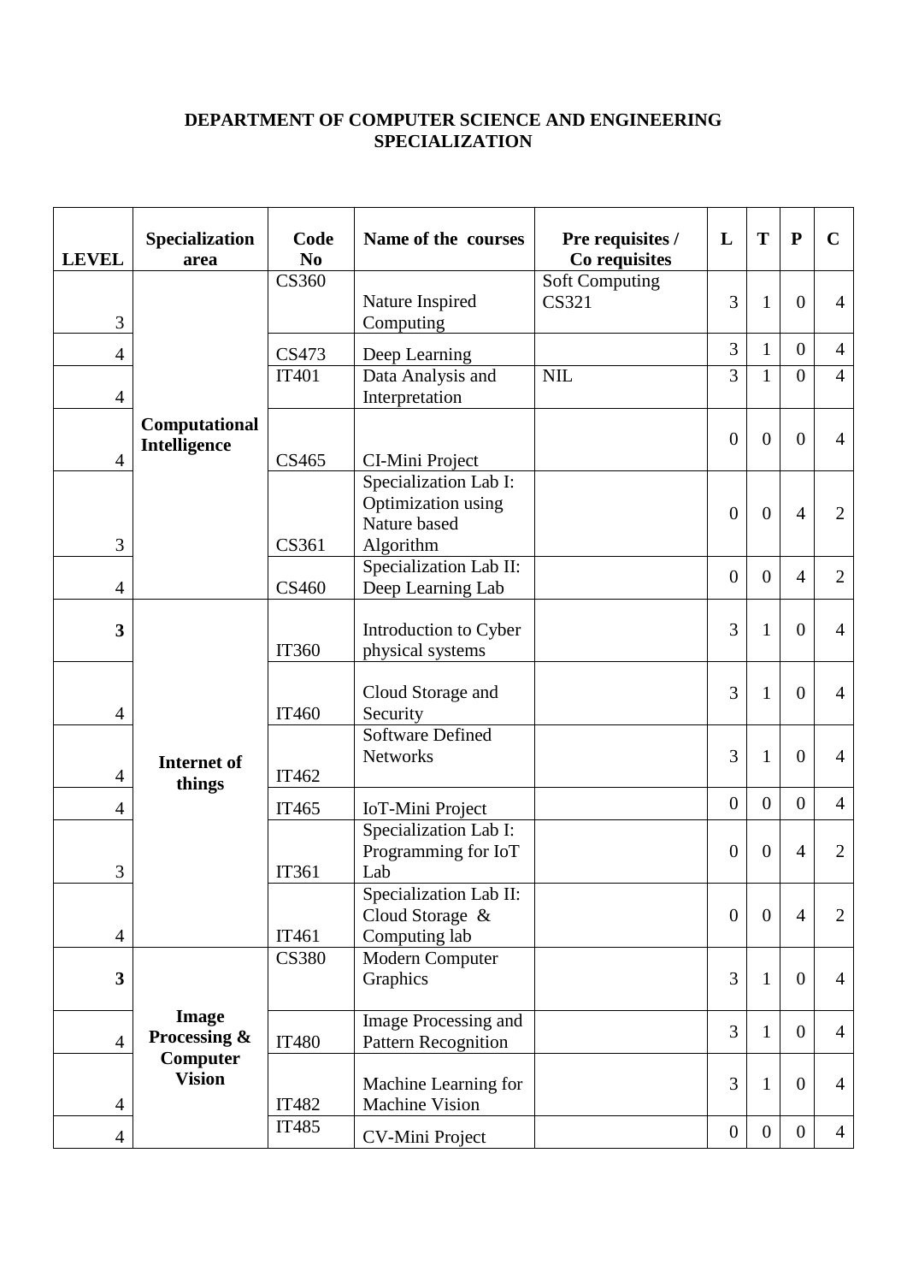## **DEPARTMENT OF COMPUTER SCIENCE AND ENGINEERING SPECIALIZATION**

| <b>LEVEL</b>   | Specialization<br>area                                    | Code<br>N <sub>0</sub> | Name of the courses                                                      | Pre requisites /<br>Co requisites     | L              | T              | ${\bf P}$        | $\mathbf C$    |
|----------------|-----------------------------------------------------------|------------------------|--------------------------------------------------------------------------|---------------------------------------|----------------|----------------|------------------|----------------|
| 3              | Computational<br>Intelligence                             | <b>CS360</b>           | Nature Inspired<br>Computing                                             | <b>Soft Computing</b><br><b>CS321</b> | 3              | 1              | $\overline{0}$   | $\overline{4}$ |
| 4              |                                                           | CS473                  | Deep Learning                                                            |                                       | 3              | $\mathbf{1}$   | $\overline{0}$   | $\overline{4}$ |
| $\overline{4}$ |                                                           | <b>IT401</b>           | Data Analysis and<br>Interpretation                                      | <b>NIL</b>                            | 3              | $\mathbf{1}$   | $\theta$         | $\overline{4}$ |
| $\overline{4}$ |                                                           | CS465                  | CI-Mini Project                                                          |                                       | $\overline{0}$ | $\theta$       | $\overline{0}$   | $\overline{4}$ |
| 3              |                                                           | CS361                  | Specialization Lab I:<br>Optimization using<br>Nature based<br>Algorithm |                                       | $\theta$       | $\mathbf{0}$   | $\overline{4}$   | 2              |
| $\overline{4}$ |                                                           | CS460                  | Specialization Lab II:<br>Deep Learning Lab                              |                                       | $\overline{0}$ | $\theta$       | $\overline{4}$   | $\overline{2}$ |
| 3              | <b>Internet</b> of<br>things                              | <b>IT360</b>           | Introduction to Cyber<br>physical systems                                |                                       | 3              | $\mathbf{1}$   | $\overline{0}$   | $\overline{4}$ |
| $\overline{4}$ |                                                           | IT460                  | Cloud Storage and<br>Security                                            |                                       | 3              | $\mathbf{1}$   | $\overline{0}$   | $\overline{4}$ |
| $\overline{4}$ |                                                           | IT462                  | <b>Software Defined</b><br><b>Networks</b>                               |                                       | 3              | $\mathbf{1}$   | $\overline{0}$   | $\overline{4}$ |
| 4              |                                                           | IT465                  | IoT-Mini Project                                                         |                                       | $\overline{0}$ | $\overline{0}$ | $\overline{0}$   | $\overline{4}$ |
| 3              |                                                           | IT361                  | Specialization Lab I:<br>Programming for IoT<br>Lab                      |                                       | $\theta$       | $\theta$       | $\overline{4}$   | 2              |
| 4              |                                                           | IT461                  | Specialization Lab II:<br>Cloud Storage &<br>Computing lab               |                                       | $\overline{0}$ | $\overline{0}$ | $\overline{4}$   | $\overline{2}$ |
| 3              | <b>Image</b><br>Processing &<br>Computer<br><b>Vision</b> | <b>CS380</b>           | Modern Computer<br>Graphics                                              |                                       | 3              | $\mathbf{1}$   | $\theta$         | $\overline{4}$ |
| $\overline{4}$ |                                                           | <b>IT480</b>           | Image Processing and<br><b>Pattern Recognition</b>                       |                                       | 3              | $\mathbf{1}$   | $\overline{0}$   | $\overline{4}$ |
| $\overline{4}$ |                                                           | <b>IT482</b>           | Machine Learning for<br><b>Machine Vision</b>                            |                                       | 3              | $\mathbf{1}$   | $\overline{0}$   | $\overline{4}$ |
| $\overline{4}$ |                                                           | <b>IT485</b>           | <b>CV-Mini Project</b>                                                   |                                       | $\overline{0}$ | $\overline{0}$ | $\boldsymbol{0}$ | $\overline{4}$ |